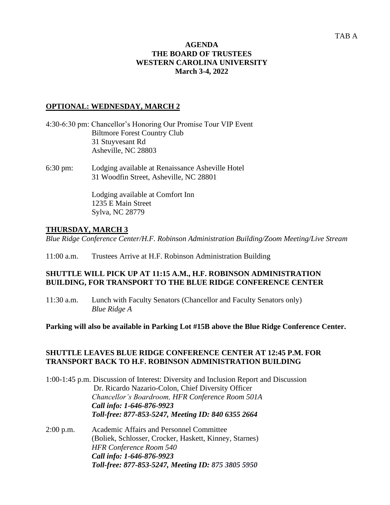### **AGENDA THE BOARD OF TRUSTEES WESTERN CAROLINA UNIVERSITY March 3-4, 2022**

## **OPTIONAL: WEDNESDAY, MARCH 2**

- 4:30-6:30 pm: Chancellor's Honoring Our Promise Tour VIP Event Biltmore Forest Country Club 31 Stuyvesant Rd Asheville, NC 28803
- 6:30 pm: Lodging available at Renaissance Asheville Hotel 31 Woodfin Street, Asheville, NC 28801

Lodging available at Comfort Inn 1235 E Main Street Sylva, NC 28779

# **THURSDAY, MARCH 3**

*Blue Ridge Conference Center/H.F. Robinson Administration Building/Zoom Meeting/Live Stream* 

11:00 a.m. Trustees Arrive at H.F. Robinson Administration Building

## **SHUTTLE WILL PICK UP AT 11:15 A.M., H.F. ROBINSON ADMINISTRATION BUILDING, FOR TRANSPORT TO THE BLUE RIDGE CONFERENCE CENTER**

11:30 a.m. Lunch with Faculty Senators (Chancellor and Faculty Senators only) *Blue Ridge A* 

### **Parking will also be available in Parking Lot #15B above the Blue Ridge Conference Center.**

## **SHUTTLE LEAVES BLUE RIDGE CONFERENCE CENTER AT 12:45 P.M. FOR TRANSPORT BACK TO H.F. ROBINSON ADMINISTRATION BUILDING**

1:00-1:45 p.m. Discussion of Interest: Diversity and Inclusion Report and Discussion Dr. Ricardo Nazario-Colon, Chief Diversity Officer *Chancellor's Boardroom, HFR Conference Room 501A Call info: 1-646-876-9923 Toll-free: 877-853-5247, Meeting ID: 840 6355 2664*

2:00 p.m. Academic Affairs and Personnel Committee (Boliek, Schlosser, Crocker, Haskett, Kinney, Starnes) *HFR Conference Room 540 Call info: 1-646-876-9923 Toll-free: 877-853-5247, Meeting ID: 875 3805 5950*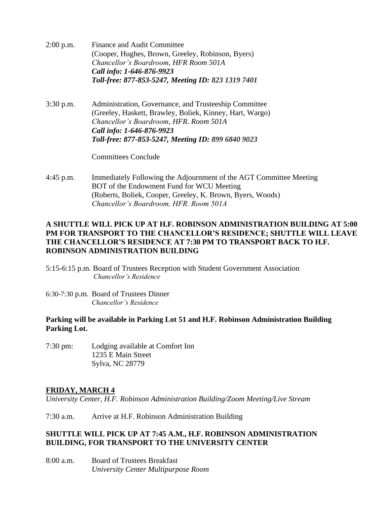- 2:00 p.m. Finance and Audit Committee (Cooper, Hughes, Brown, Greeley, Robinson, Byers) *Chancellor's Boardroom, HFR Room 501A Call info: 1-646-876-9923 Toll-free: 877-853-5247, Meeting ID: 823 1319 7401*
- 3:30 p.m. Administration, Governance, and Trusteeship Committee (Greeley, Haskett, Brawley, Boliek, Kinney, Hart, Wargo) *Chancellor's Boardroom, HFR. Room 501A Call info: 1-646-876-9923 Toll-free: 877-853-5247, Meeting ID: 899 6840 9023*

Committees Conclude

4:45 p.m. Immediately Following the Adjournment of the AGT Committee Meeting BOT of the Endowment Fund for WCU Meeting (Roberts, Boliek, Cooper, Greeley, K. Brown, Byers, Woods) *Chancellor's Boardroom, HFR. Room 501A* 

## **A SHUTTLE WILL PICK UP AT H.F. ROBINSON ADMINISTRATION BUILDING AT 5:00 PM FOR TRANSPORT TO THE CHANCELLOR'S RESIDENCE; SHUTTLE WILL LEAVE THE CHANCELLOR'S RESIDENCE AT 7:30 PM TO TRANSPORT BACK TO H.F. ROBINSON ADMINISTRATION BUILDING**

- 5:15-6:15 p.m. Board of Trustees Reception with Student Government Association *Chancellor's Residence*
- 6:30-7:30 p.m. Board of Trustees Dinner *Chancellor's Residence*

### **Parking will be available in Parking Lot 51 and H.F. Robinson Administration Building Parking Lot.**

7:30 pm: Lodging available at Comfort Inn 1235 E Main Street Sylva, NC 28779

# **FRIDAY, MARCH 4**

*University Center, H.F. Robinson Administration Building/Zoom Meeting/Live Stream* 

7:30 a.m. Arrive at H.F. Robinson Administration Building

## **SHUTTLE WILL PICK UP AT 7:45 A.M., H.F. ROBINSON ADMINISTRATION BUILDING, FOR TRANSPORT TO THE UNIVERSITY CENTER**

8:00 a.m. Board of Trustees Breakfast *University Center Multipurpose Room*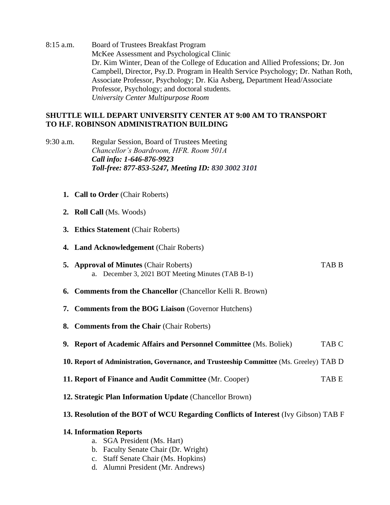8:15 a.m. Board of Trustees Breakfast Program McKee Assessment and Psychological Clinic Dr. Kim Winter, Dean of the College of Education and Allied Professions; Dr. Jon Campbell, Director, Psy.D. Program in Health Service Psychology; Dr. Nathan Roth, Associate Professor, Psychology; Dr. Kia Asberg, Department Head/Associate Professor, Psychology; and doctoral students. *University Center Multipurpose Room*

# **SHUTTLE WILL DEPART UNIVERSITY CENTER AT 9:00 AM TO TRANSPORT TO H.F. ROBINSON ADMINISTRATION BUILDING**

- 9:30 a.m. Regular Session, Board of Trustees Meeting *Chancellor's Boardroom, HFR. Room 501A Call info: 1-646-876-9923 Toll-free: 877-853-5247, Meeting ID: 830 3002 3101*
	- **1. Call to Order** (Chair Roberts)
	- **2. Roll Call** (Ms. Woods)
	- **3. Ethics Statement** (Chair Roberts)
	- **4. Land Acknowledgement** (Chair Roberts)
	- **5. Approval of Minutes** (Chair Roberts) TAB B a. December 3, 2021 BOT Meeting Minutes (TAB B-1)
	- **6. Comments from the Chancellor** (Chancellor Kelli R. Brown)
	- **7. Comments from the BOG Liaison** (Governor Hutchens)
	- **8. Comments from the Chair** (Chair Roberts)
	- **9. Report of Academic Affairs and Personnel Committee** (Ms. Boliek) TAB C
	- **10. Report of Administration, Governance, and Trusteeship Committee** (Ms. Greeley) TAB D
	- **11. Report of Finance and Audit Committee** (Mr. Cooper) TAB E
	- **12. Strategic Plan Information Update** (Chancellor Brown)

### **13. Resolution of the BOT of WCU Regarding Conflicts of Interest** (Ivy Gibson) TAB F

### **14. Information Reports**

- a. SGA President (Ms. Hart)
- b. Faculty Senate Chair (Dr. Wright)
- c. Staff Senate Chair (Ms. Hopkins)
- d. Alumni President (Mr. Andrews)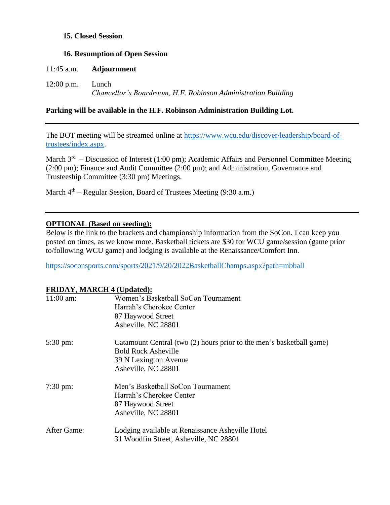### **15. Closed Session**

#### **16. Resumption of Open Session**

|              | 11:45 a.m. <b>Adjournment</b>                                          |
|--------------|------------------------------------------------------------------------|
| $12:00$ p.m. | Lunch<br>Chancellor's Boardroom, H.F. Robinson Administration Building |

## **Parking will be available in the H.F. Robinson Administration Building Lot.**

The BOT meeting will be streamed online at [https://www.wcu.edu/discover/leadership/board-of](https://www.wcu.edu/discover/leadership/board-of-trustees/index.aspx)[trustees/index.aspx.](https://www.wcu.edu/discover/leadership/board-of-trustees/index.aspx)

March  $3<sup>rd</sup>$  – Discussion of Interest (1:00 pm); Academic Affairs and Personnel Committee Meeting (2:00 pm); Finance and Audit Committee (2:00 pm); and Administration, Governance and Trusteeship Committee (3:30 pm) Meetings.

March  $4<sup>th</sup>$  – Regular Session, Board of Trustees Meeting (9:30 a.m.)

### **OPTIONAL (Based on seeding):**

Below is the link to the brackets and championship information from the SoCon. I can keep you posted on times, as we know more. Basketball tickets are \$30 for WCU game/session (game prior to/following WCU game) and lodging is available at the Renaissance/Comfort Inn.

<https://soconsports.com/sports/2021/9/20/2022BasketballChamps.aspx?path=mbball>

#### **FRIDAY, MARCH 4 (Updated):**

|                     | $\ldots$                                                             |
|---------------------|----------------------------------------------------------------------|
| $11:00$ am:         | Women's Basketball SoCon Tournament                                  |
|                     | Harrah's Cherokee Center                                             |
|                     | 87 Haywood Street                                                    |
|                     | Asheville, NC 28801                                                  |
| 5:30 pm:            | Catamount Central (two (2) hours prior to the men's basketball game) |
|                     | <b>Bold Rock Asheville</b>                                           |
|                     | 39 N Lexington Avenue                                                |
|                     | Asheville, NC 28801                                                  |
| $7:30 \text{ pm}$ : | Men's Basketball SoCon Tournament                                    |
|                     | Harrah's Cherokee Center                                             |
|                     | 87 Haywood Street                                                    |
|                     | Asheville, NC 28801                                                  |
| After Game:         | Lodging available at Renaissance Asheville Hotel                     |
|                     | 31 Woodfin Street, Asheville, NC 28801                               |